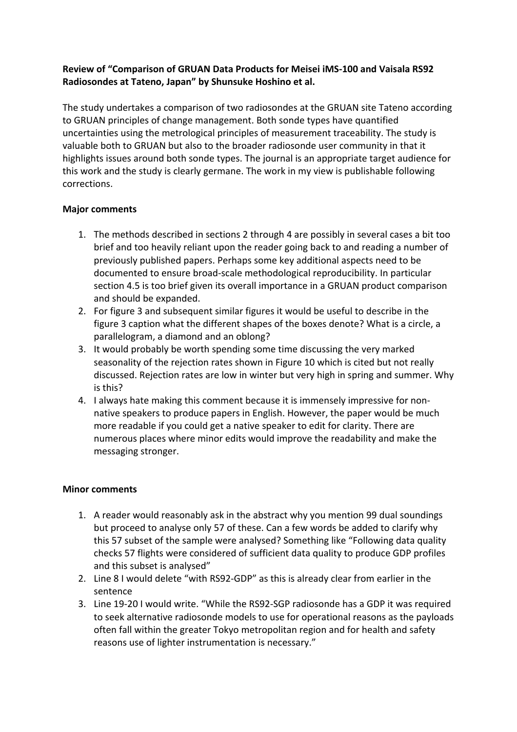## **Review of "Comparison of GRUAN Data Products for Meisei iMS-100 and Vaisala RS92 Radiosondes at Tateno, Japan" by Shunsuke Hoshino et al.**

The study undertakes a comparison of two radiosondes at the GRUAN site Tateno according to GRUAN principles of change management. Both sonde types have quantified uncertainties using the metrological principles of measurement traceability. The study is valuable both to GRUAN but also to the broader radiosonde user community in that it highlights issues around both sonde types. The journal is an appropriate target audience for this work and the study is clearly germane. The work in my view is publishable following corrections.

## **Major comments**

- 1. The methods described in sections 2 through 4 are possibly in several cases a bit too brief and too heavily reliant upon the reader going back to and reading a number of previously published papers. Perhaps some key additional aspects need to be documented to ensure broad-scale methodological reproducibility. In particular section 4.5 is too brief given its overall importance in a GRUAN product comparison and should be expanded.
- 2. For figure 3 and subsequent similar figures it would be useful to describe in the figure 3 caption what the different shapes of the boxes denote? What is a circle, a parallelogram, a diamond and an oblong?
- 3. It would probably be worth spending some time discussing the very marked seasonality of the rejection rates shown in Figure 10 which is cited but not really discussed. Rejection rates are low in winter but very high in spring and summer. Why is this?
- 4. I always hate making this comment because it is immensely impressive for nonnative speakers to produce papers in English. However, the paper would be much more readable if you could get a native speaker to edit for clarity. There are numerous places where minor edits would improve the readability and make the messaging stronger.

## **Minor comments**

- 1. A reader would reasonably ask in the abstract why you mention 99 dual soundings but proceed to analyse only 57 of these. Can a few words be added to clarify why this 57 subset of the sample were analysed? Something like "Following data quality checks 57 flights were considered of sufficient data quality to produce GDP profiles and this subset is analysed"
- 2. Line 8 I would delete "with RS92-GDP" as this is already clear from earlier in the sentence
- 3. Line 19-20 I would write. "While the RS92-SGP radiosonde has a GDP it was required to seek alternative radiosonde models to use for operational reasons as the payloads often fall within the greater Tokyo metropolitan region and for health and safety reasons use of lighter instrumentation is necessary."